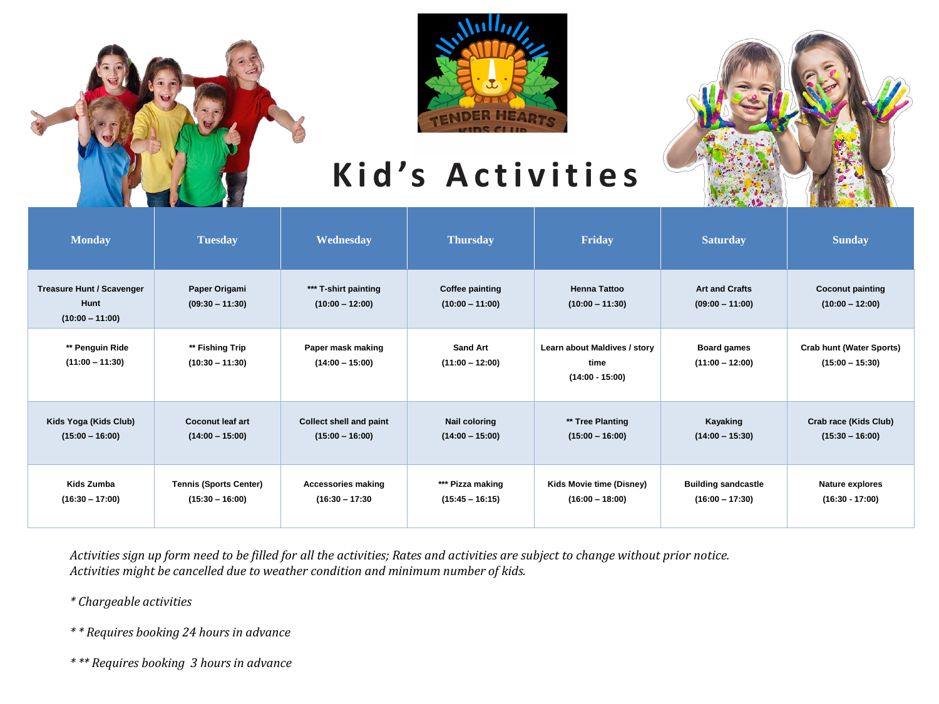



## **K i d 's A c t i v i t i e s**

| <b>Monday</b>                                                 | <b>Tuesday</b>                                     | <b>Wednesday</b>                                    | <b>Thursday</b>                             | Friday                                                    | <b>Saturday</b>                                 | <b>Sunday</b>                                        |
|---------------------------------------------------------------|----------------------------------------------------|-----------------------------------------------------|---------------------------------------------|-----------------------------------------------------------|-------------------------------------------------|------------------------------------------------------|
| <b>Treasure Hunt / Scavenger</b><br>Hunt<br>$(10:00 - 11:00)$ | Paper Origami<br>$(09:30 - 11:30)$                 | *** T-shirt painting<br>$(10:00 - 12:00)$           | <b>Coffee painting</b><br>$(10:00 - 11:00)$ | <b>Henna Tattoo</b><br>$(10:00 - 11:30)$                  | <b>Art and Crafts</b><br>$(09:00 - 11:00)$      | <b>Coconut painting</b><br>$(10:00 - 12:00)$         |
| ** Penguin Ride<br>$(11:00 - 11:30)$                          | ** Fishing Trip<br>$(10:30 - 11:30)$               | Paper mask making<br>$(14:00 - 15:00)$              | <b>Sand Art</b><br>$(11:00 - 12:00)$        | Learn about Maldives / story<br>time<br>$(14:00 - 15:00)$ | <b>Board games</b><br>$(11:00 - 12:00)$         | <b>Crab hunt (Water Sports)</b><br>$(15:00 - 15:30)$ |
| Kids Yoga (Kids Club)<br>$(15:00 - 16:00)$                    | <b>Coconut leaf art</b><br>$(14:00 - 15:00)$       | <b>Collect shell and paint</b><br>$(15:00 - 16:00)$ | <b>Nail coloring</b><br>$(14:00 - 15:00)$   | ** Tree Planting<br>$(15:00 - 16:00)$                     | Kayaking<br>$(14:00 - 15:30)$                   | Crab race (Kids Club)<br>$(15:30 - 16:00)$           |
| Kids Zumba<br>$(16:30 - 17:00)$                               | <b>Tennis (Sports Center)</b><br>$(15:30 - 16:00)$ | <b>Accessories making</b><br>$(16:30 - 17:30)$      | *** Pizza making<br>$(15:45 - 16:15)$       | <b>Kids Movie time (Disney)</b><br>$(16:00 - 18:00)$      | <b>Building sandcastle</b><br>$(16:00 - 17:30)$ | <b>Nature explores</b><br>$(16:30 - 17:00)$          |

Activities sign up form need to be filled for all the activities; Rates and activities are subject to change without prior notice. *Activities might be cancelled due to weather condition and minimum number of kids.*

*\* Chargeable activities*

- *\* \* Requires booking 24 hours in advance*
- *\* \*\* Requires booking 3 hours in advance*